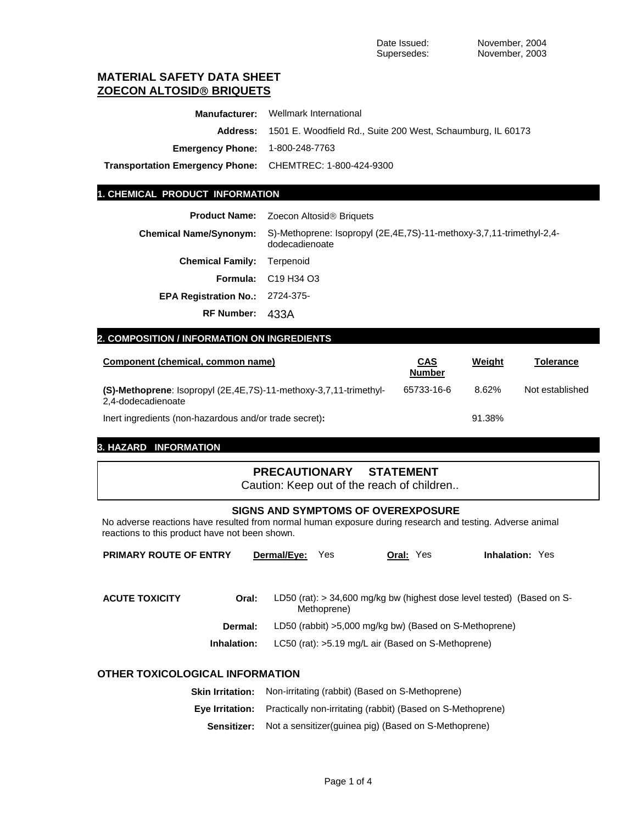# **MATERIAL SAFETY DATA SHEET ZOECON ALTOSID**® **BRIQUETS**

|                                                                 | <b>Manufacturer:</b> Wellmark International                          |
|-----------------------------------------------------------------|----------------------------------------------------------------------|
|                                                                 | Address: 1501 E. Woodfield Rd., Suite 200 West, Schaumburg, IL 60173 |
| <b>Emergency Phone: 1-800-248-7763</b>                          |                                                                      |
| <b>Transportation Emergency Phone:</b> CHEMTREC: 1-800-424-9300 |                                                                      |

### **1. CHEMICAL PRODUCT INFORMATION**

| Product Name: | Zoecon Altosid <sup>®</sup> Briquets |
|---------------|--------------------------------------|
|               |                                      |

| <b>Chemical Name/Synonym:</b>          | S)-Methoprene: Isopropyl (2E,4E,7S)-11-methoxy-3,7,11-trimethyl-2,4-<br>dodecadienoate |
|----------------------------------------|----------------------------------------------------------------------------------------|
| <b>Chemical Family: Terpenoid</b>      |                                                                                        |
|                                        | <b>Formula:</b> C19 H34 O3                                                             |
| <b>EPA Registration No.: 2724-375-</b> |                                                                                        |
| RF Number: 433A                        |                                                                                        |

## **2. COMPOSITION / INFORMATION ON INGREDIENTS**

| Component (chemical, common name)                                                       | <u>CAS</u><br><b>Number</b> | Weight | Tolerance       |
|-----------------------------------------------------------------------------------------|-----------------------------|--------|-----------------|
| (S)-Methoprene: Isopropyl (2E,4E,7S)-11-methoxy-3,7,11-trimethyl-<br>2,4-dodecadienoate | 65733-16-6                  | 8.62%  | Not established |
| lnert ingredients (non-hazardous and/or trade secret):                                  |                             | 91.38% |                 |

# **3. HAZARD INFORMATION**

# **PRECAUTIONARY STATEMENT**

Caution: Keep out of the reach of children..

## **SIGNS AND SYMPTOMS OF OVEREXPOSURE**

No adverse reactions have resulted from normal human exposure during research and testing. Adverse animal reactions to this product have not been shown.

| <b>PRIMARY ROUTE OF ENTRY</b>   |             | Dermal/Eve: | Yes         | <b>Oral: Yes</b> |                                                                          | <b>Inhalation: Yes</b> |  |
|---------------------------------|-------------|-------------|-------------|------------------|--------------------------------------------------------------------------|------------------------|--|
|                                 |             |             |             |                  |                                                                          |                        |  |
| <b>ACUTE TOXICITY</b>           | Oral:       |             |             |                  | LD50 (rat): $>$ 34,600 mg/kg bw (highest dose level tested) (Based on S- |                        |  |
|                                 |             |             | Methoprene) |                  |                                                                          |                        |  |
|                                 | Dermal:     |             |             |                  | LD50 (rabbit) >5,000 mg/kg bw) (Based on S-Methoprene)                   |                        |  |
|                                 | Inhalation: |             |             |                  | LC50 (rat): >5.19 mg/L air (Based on S-Methoprene)                       |                        |  |
| OTHER TOXICOLOGICAL INFORMATION |             |             |             |                  |                                                                          |                        |  |

| <b>Skin Irritation:</b> | Non-irritating (rabbit) (Based on S-Methoprene)                          |
|-------------------------|--------------------------------------------------------------------------|
| Eve Irritation:         | Practically non-irritating (rabbit) (Based on S-Methoprene)              |
|                         | <b>Sensitizer:</b> Not a sensitizer (quinea pig) (Based on S-Methoprene) |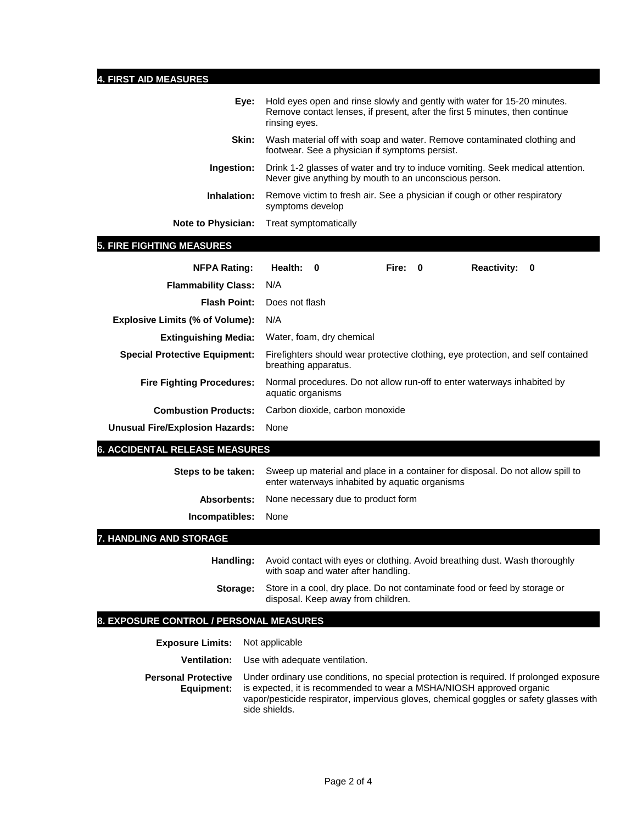# **4. FIRST AID MEASURES**

| Eve:                      | Hold eyes open and rinse slowly and gently with water for 15-20 minutes.<br>Remove contact lenses, if present, after the first 5 minutes, then continue<br>rinsing eyes. |
|---------------------------|--------------------------------------------------------------------------------------------------------------------------------------------------------------------------|
| Skin:                     | Wash material off with soap and water. Remove contaminated clothing and<br>footwear. See a physician if symptoms persist.                                                |
| Ingestion:                | Drink 1-2 glasses of water and try to induce vomiting. Seek medical attention.<br>Never give anything by mouth to an unconscious person.                                 |
| Inhalation:               | Remove victim to fresh air. See a physician if cough or other respiratory<br>symptoms develop                                                                            |
| <b>Note to Physician:</b> | Treat symptomatically                                                                                                                                                    |

# **5. FIRE FIGHTING MEASURES**

| <b>NFPA Rating:</b>                    | Health: 0         |                                 | Fire: 0 | Reactivity: 0                                                           |                                                                                  |
|----------------------------------------|-------------------|---------------------------------|---------|-------------------------------------------------------------------------|----------------------------------------------------------------------------------|
| <b>Flammability Class:</b>             | N/A               |                                 |         |                                                                         |                                                                                  |
| <b>Flash Point:</b>                    | Does not flash    |                                 |         |                                                                         |                                                                                  |
| <b>Explosive Limits (% of Volume):</b> | N/A               |                                 |         |                                                                         |                                                                                  |
| <b>Extinguishing Media:</b>            |                   | Water, foam, dry chemical       |         |                                                                         |                                                                                  |
| <b>Special Protective Equipment:</b>   |                   | breathing apparatus.            |         |                                                                         | Firefighters should wear protective clothing, eye protection, and self contained |
| <b>Fire Fighting Procedures:</b>       | aquatic organisms |                                 |         | Normal procedures. Do not allow run-off to enter waterways inhabited by |                                                                                  |
| <b>Combustion Products:</b>            |                   | Carbon dioxide, carbon monoxide |         |                                                                         |                                                                                  |
| Unusual Fire/Explosion Hazards:        | None              |                                 |         |                                                                         |                                                                                  |

## **6. ACCIDENTAL RELEASE MEASURES**

| Steps to be taken:         | Sweep up material and place in a container for disposal. Do not allow spill to<br>enter waterways inhabited by aquatic organisms |
|----------------------------|----------------------------------------------------------------------------------------------------------------------------------|
|                            | <b>Absorbents:</b> None necessary due to product form                                                                            |
| <b>Incompatibles:</b> None |                                                                                                                                  |

# **7. HANDLING AND STORAGE**

| Handling: | Avoid contact with eyes or clothing. Avoid breathing dust. Wash thoroughly<br>with soap and water after handling. |
|-----------|-------------------------------------------------------------------------------------------------------------------|
| Storage:  | Store in a cool, dry place. Do not contaminate food or feed by storage or<br>disposal. Keep away from children.   |

# **8. EXPOSURE CONTROL / PERSONAL MEASURES**

| <b>Exposure Limits:</b> Not applicable   |                                                                                                                                                                                                                                                                            |
|------------------------------------------|----------------------------------------------------------------------------------------------------------------------------------------------------------------------------------------------------------------------------------------------------------------------------|
|                                          | <b>Ventilation:</b> Use with adequate ventilation.                                                                                                                                                                                                                         |
| <b>Personal Protective</b><br>Equipment: | Under ordinary use conditions, no special protection is required. If prolonged exposure<br>is expected, it is recommended to wear a MSHA/NIOSH approved organic<br>vapor/pesticide respirator, impervious gloves, chemical goggles or safety glasses with<br>side shields. |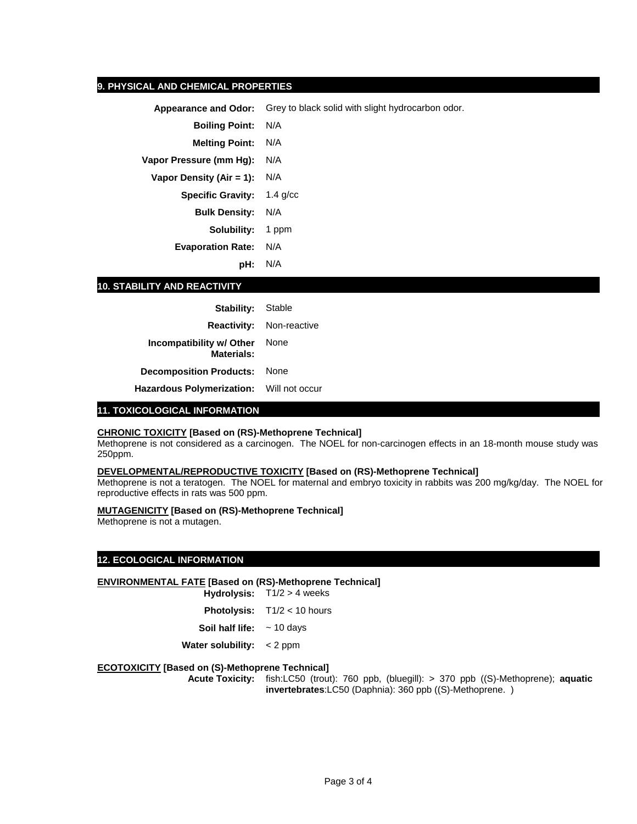### **9. PHYSICAL AND CHEMICAL PROPERTIES**

**Appearance and Odor:** Grey to black solid with slight hydrocarbon odor.

**Boiling Point:** N/A

**Melting Point:** N/A

**Vapor Pressure (mm Hg):** N/A

**Vapor Density (Air = 1):** N/A

**Specific Gravity:** 1.4 g/cc **Bulk Density:** N/A

**Solubility:** 1 ppm

**Evaporation Rate:** N/A

**pH:** N/A

## **10. STABILITY AND REACTIVITY**

| <b>Stability:</b> Stable                      |              |
|-----------------------------------------------|--------------|
| <b>Reactivity:</b>                            | Non-reactive |
| Incompatibility w/ Other<br><b>Materials:</b> | None         |
| <b>Decomposition Products:</b>                | None         |
| Hazardous Polymerization: Will not occur      |              |

#### **11. TOXICOLOGICAL INFORMATION**

#### **CHRONIC TOXICITY [Based on (RS)-Methoprene Technical]**

Methoprene is not considered as a carcinogen. The NOEL for non-carcinogen effects in an 18-month mouse study was 250ppm.

#### **DEVELOPMENTAL/REPRODUCTIVE TOXICITY [Based on (RS)-Methoprene Technical]**

Methoprene is not a teratogen. The NOEL for maternal and embryo toxicity in rabbits was 200 mg/kg/day. The NOEL for reproductive effects in rats was 500 ppm.

#### **MUTAGENICITY [Based on (RS)-Methoprene Technical]**

Methoprene is not a mutagen.

## **12. ECOLOGICAL INFORMATION**

#### **ENVIRONMENTAL FATE [Based on (RS)-Methoprene Technical]**

**Hydrolysis:** T1/2 > 4 weeks

**Photolysis:** T1/2 < 10 hours

**Soil half life:** ~ 10 days

**Water solubility:** < 2 ppm

#### **ECOTOXICITY [Based on (S)-Methoprene Technical]**

**Acute Toxicity:** fish:LC50 (trout): 760 ppb, (bluegill): > 370 ppb ((S)-Methoprene); **aquatic invertebrates**:LC50 (Daphnia): 360 ppb ((S)-Methoprene. )